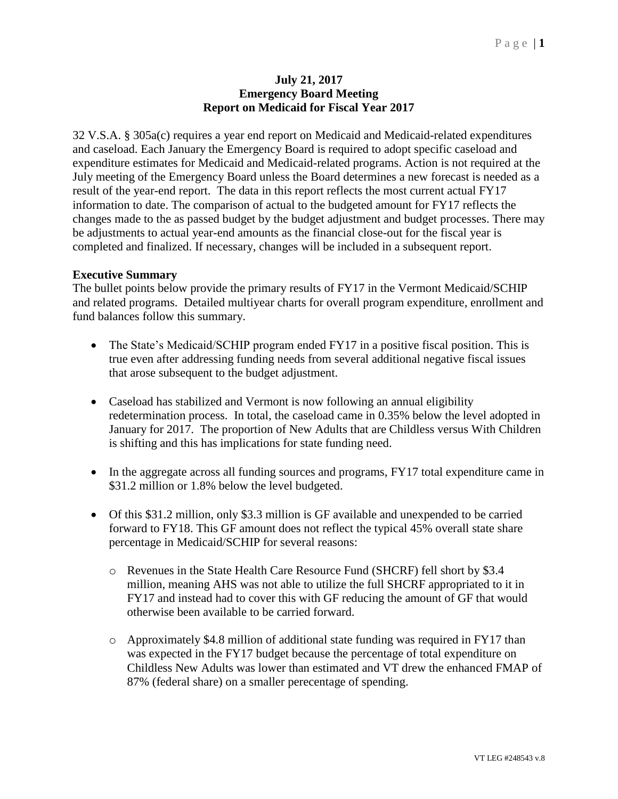## **July 21, 2017 Emergency Board Meeting Report on Medicaid for Fiscal Year 2017**

32 V.S.A. § 305a(c) requires a year end report on Medicaid and Medicaid-related expenditures and caseload. Each January the Emergency Board is required to adopt specific caseload and expenditure estimates for Medicaid and Medicaid-related programs. Action is not required at the July meeting of the Emergency Board unless the Board determines a new forecast is needed as a result of the year-end report. The data in this report reflects the most current actual FY17 information to date. The comparison of actual to the budgeted amount for FY17 reflects the changes made to the as passed budget by the budget adjustment and budget processes. There may be adjustments to actual year-end amounts as the financial close-out for the fiscal year is completed and finalized. If necessary, changes will be included in a subsequent report.

## **Executive Summary**

The bullet points below provide the primary results of FY17 in the Vermont Medicaid/SCHIP and related programs. Detailed multiyear charts for overall program expenditure, enrollment and fund balances follow this summary.

- The State's Medicaid/SCHIP program ended FY17 in a positive fiscal position. This is true even after addressing funding needs from several additional negative fiscal issues that arose subsequent to the budget adjustment.
- Caseload has stabilized and Vermont is now following an annual eligibility redetermination process. In total, the caseload came in 0.35% below the level adopted in January for 2017. The proportion of New Adults that are Childless versus With Children is shifting and this has implications for state funding need.
- In the aggregate across all funding sources and programs, FY17 total expenditure came in \$31.2 million or 1.8% below the level budgeted.
- Of this \$31.2 million, only \$3.3 million is GF available and unexpended to be carried forward to FY18. This GF amount does not reflect the typical 45% overall state share percentage in Medicaid/SCHIP for several reasons:
	- o Revenues in the State Health Care Resource Fund (SHCRF) fell short by \$3.4 million, meaning AHS was not able to utilize the full SHCRF appropriated to it in FY17 and instead had to cover this with GF reducing the amount of GF that would otherwise been available to be carried forward.
	- $\circ$  Approximately \$4.8 million of additional state funding was required in FY17 than was expected in the FY17 budget because the percentage of total expenditure on Childless New Adults was lower than estimated and VT drew the enhanced FMAP of 87% (federal share) on a smaller perecentage of spending.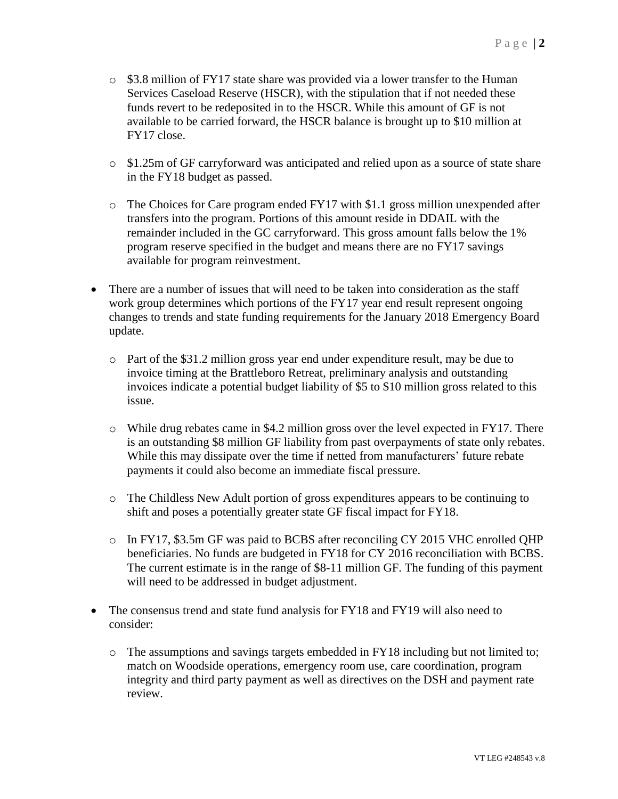- $\circ$  \$3.8 million of FY17 state share was provided via a lower transfer to the Human Services Caseload Reserve (HSCR), with the stipulation that if not needed these funds revert to be redeposited in to the HSCR. While this amount of GF is not available to be carried forward, the HSCR balance is brought up to \$10 million at FY17 close.
- o \$1.25m of GF carryforward was anticipated and relied upon as a source of state share in the FY18 budget as passed.
- o The Choices for Care program ended FY17 with \$1.1 gross million unexpended after transfers into the program. Portions of this amount reside in DDAIL with the remainder included in the GC carryforward. This gross amount falls below the 1% program reserve specified in the budget and means there are no FY17 savings available for program reinvestment.
- There are a number of issues that will need to be taken into consideration as the staff work group determines which portions of the FY17 year end result represent ongoing changes to trends and state funding requirements for the January 2018 Emergency Board update.
	- o Part of the \$31.2 million gross year end under expenditure result, may be due to invoice timing at the Brattleboro Retreat, preliminary analysis and outstanding invoices indicate a potential budget liability of \$5 to \$10 million gross related to this issue.
	- $\circ$  While drug rebates came in \$4.2 million gross over the level expected in FY17. There is an outstanding \$8 million GF liability from past overpayments of state only rebates. While this may dissipate over the time if netted from manufacturers' future rebate payments it could also become an immediate fiscal pressure.
	- o The Childless New Adult portion of gross expenditures appears to be continuing to shift and poses a potentially greater state GF fiscal impact for FY18.
	- o In FY17, \$3.5m GF was paid to BCBS after reconciling CY 2015 VHC enrolled QHP beneficiaries. No funds are budgeted in FY18 for CY 2016 reconciliation with BCBS. The current estimate is in the range of \$8-11 million GF. The funding of this payment will need to be addressed in budget adjustment.
- The consensus trend and state fund analysis for FY18 and FY19 will also need to consider:
	- $\circ$  The assumptions and savings targets embedded in FY18 including but not limited to; match on Woodside operations, emergency room use, care coordination, program integrity and third party payment as well as directives on the DSH and payment rate review.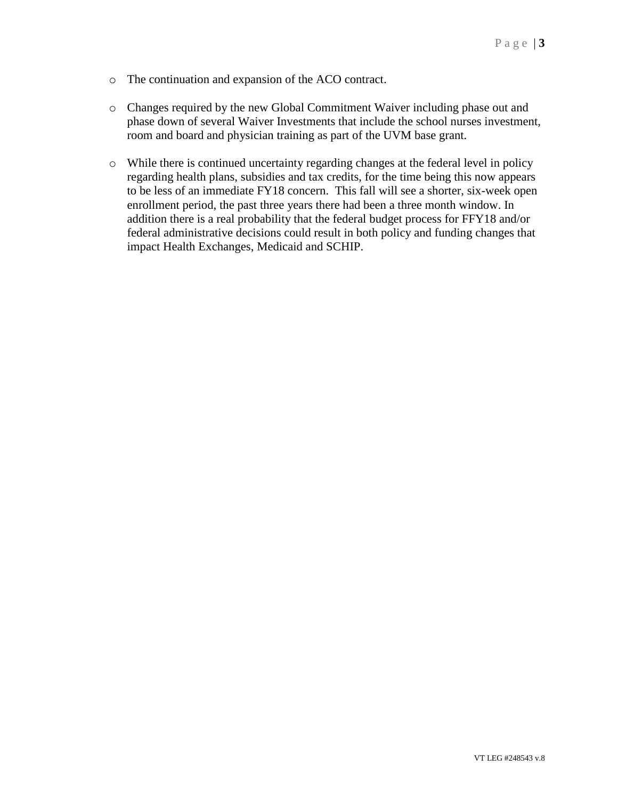- o The continuation and expansion of the ACO contract.
- o Changes required by the new Global Commitment Waiver including phase out and phase down of several Waiver Investments that include the school nurses investment, room and board and physician training as part of the UVM base grant.
- o While there is continued uncertainty regarding changes at the federal level in policy regarding health plans, subsidies and tax credits, for the time being this now appears to be less of an immediate FY18 concern. This fall will see a shorter, six-week open enrollment period, the past three years there had been a three month window. In addition there is a real probability that the federal budget process for FFY18 and/or federal administrative decisions could result in both policy and funding changes that impact Health Exchanges, Medicaid and SCHIP.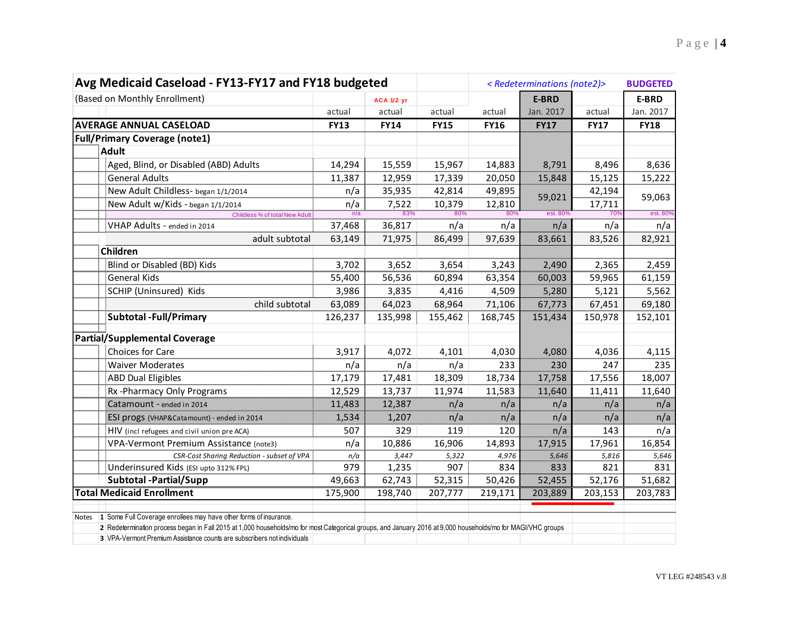| Avg Medicaid Caseload - FY13-FY17 and FY18 budgeted                                                                                                                                                                                     |             |             |             |             | <redeterminations (note2)=""></redeterminations> |             | <b>BUDGETED</b> |  |
|-----------------------------------------------------------------------------------------------------------------------------------------------------------------------------------------------------------------------------------------|-------------|-------------|-------------|-------------|--------------------------------------------------|-------------|-----------------|--|
| (Based on Monthly Enrollment)                                                                                                                                                                                                           |             | ACA 1/2 yr  |             |             | E-BRD                                            |             | E-BRD           |  |
|                                                                                                                                                                                                                                         | actual      | actual      | actual      | actual      | Jan. 2017                                        | actual      | Jan. 2017       |  |
| <b>AVERAGE ANNUAL CASELOAD</b>                                                                                                                                                                                                          | <b>FY13</b> | <b>FY14</b> | <b>FY15</b> | <b>FY16</b> | <b>FY17</b>                                      | <b>FY17</b> | <b>FY18</b>     |  |
| <b>Full/Primary Coverage (note1)</b>                                                                                                                                                                                                    |             |             |             |             |                                                  |             |                 |  |
| <b>Adult</b>                                                                                                                                                                                                                            |             |             |             |             |                                                  |             |                 |  |
| Aged, Blind, or Disabled (ABD) Adults                                                                                                                                                                                                   | 14,294      | 15,559      | 15,967      | 14,883      | 8,791                                            | 8,496       | 8,636           |  |
| <b>General Adults</b>                                                                                                                                                                                                                   | 11,387      | 12,959      | 17,339      | 20,050      | 15,848                                           | 15,125      | 15,222          |  |
| New Adult Childless- began 1/1/2014                                                                                                                                                                                                     | n/a         | 35,935      | 42,814      | 49,895      |                                                  | 42,194      |                 |  |
| New Adult w/Kids - began 1/1/2014                                                                                                                                                                                                       | n/a         | 7,522       | 10,379      | 12,810      | 59,021                                           | 17,711      | 59,063          |  |
| Childless % of total New Adult                                                                                                                                                                                                          | n/a         | 83%         | 80%         | 80%         | est. 80%                                         | 709         | est. 80%        |  |
| VHAP Adults - ended in 2014                                                                                                                                                                                                             | 37,468      | 36,817      | n/a         | n/a         | n/a                                              | n/a         | n/a             |  |
| adult subtotal                                                                                                                                                                                                                          | 63,149      | 71,975      | 86,499      | 97,639      | 83,661                                           | 83,526      | 82,921          |  |
| Children                                                                                                                                                                                                                                |             |             |             |             |                                                  |             |                 |  |
| Blind or Disabled (BD) Kids                                                                                                                                                                                                             | 3,702       | 3,652       | 3,654       | 3,243       | 2,490                                            | 2,365       | 2,459           |  |
| <b>General Kids</b>                                                                                                                                                                                                                     | 55,400      | 56,536      | 60,894      | 63,354      | 60,003                                           | 59,965      | 61,159          |  |
| SCHIP (Uninsured) Kids                                                                                                                                                                                                                  | 3,986       | 3,835       | 4,416       | 4,509       | 5,280                                            | 5,121       | 5,562           |  |
| child subtotal                                                                                                                                                                                                                          | 63,089      | 64,023      | 68,964      | 71,106      | 67,773                                           | 67,451      | 69,180          |  |
| <b>Subtotal - Full/Primary</b>                                                                                                                                                                                                          | 126,237     | 135,998     | 155,462     | 168,745     | 151,434                                          | 150,978     | 152,101         |  |
| Partial/Supplemental Coverage                                                                                                                                                                                                           |             |             |             |             |                                                  |             |                 |  |
| Choices for Care                                                                                                                                                                                                                        | 3,917       | 4,072       | 4,101       | 4,030       | 4,080                                            | 4,036       | 4,115           |  |
| <b>Waiver Moderates</b>                                                                                                                                                                                                                 | n/a         | n/a         | n/a         | 233         | 230                                              | 247         | 235             |  |
| <b>ABD Dual Eligibles</b>                                                                                                                                                                                                               | 17,179      | 17,481      | 18,309      | 18,734      | 17,758                                           | 17,556      | 18,007          |  |
| Rx-Pharmacy Only Programs                                                                                                                                                                                                               | 12,529      | 13,737      | 11,974      | 11,583      | 11,640                                           | 11,411      | 11,640          |  |
| Catamount - ended in 2014                                                                                                                                                                                                               | 11,483      | 12,387      | n/a         | n/a         | n/a                                              | n/a         | n/a             |  |
| ESI progs (VHAP&Catamount) - ended in 2014                                                                                                                                                                                              | 1,534       | 1,207       | n/a         | n/a         | n/a                                              | n/a         | n/a             |  |
| HIV (incl refugees and civil union pre ACA)                                                                                                                                                                                             | 507         | 329         | 119         | 120         | n/a                                              | 143         | n/a             |  |
| VPA-Vermont Premium Assistance (note3)                                                                                                                                                                                                  | n/a         | 10,886      | 16,906      | 14,893      | 17,915                                           | 17,961      | 16,854          |  |
| CSR-Cost Sharing Reduction - subset of VPA                                                                                                                                                                                              | n/a         | 3,447       | 5,322       | 4,976       | 5,646                                            | 5,816       | 5,646           |  |
| Underinsured Kids (ESI upto 312% FPL)                                                                                                                                                                                                   | 979         | 1,235       | 907         | 834         | 833                                              | 821         | 831             |  |
| <b>Subtotal -Partial/Supp</b>                                                                                                                                                                                                           | 49,663      | 62,743      | 52,315      | 50,426      | 52,455                                           | 52,176      | 51,682          |  |
| <b>Total Medicaid Enrollment</b>                                                                                                                                                                                                        | 175,900     | 198,740     | 207,777     | 219,171     | 203,889                                          | 203,153     | 203,783         |  |
|                                                                                                                                                                                                                                         |             |             |             |             |                                                  |             |                 |  |
| Notes 1 Some Full Coverage enrollees may have other forms of insurance.                                                                                                                                                                 |             |             |             |             |                                                  |             |                 |  |
| 2 Redetermination process began in Fall 2015 at 1,000 households/mo for most Categorical groups, and January 2016 at 9,000 households/mo for MAGI/VHC groups<br>3 VPA-Vermont Premium Assistance counts are subscribers not individuals |             |             |             |             |                                                  |             |                 |  |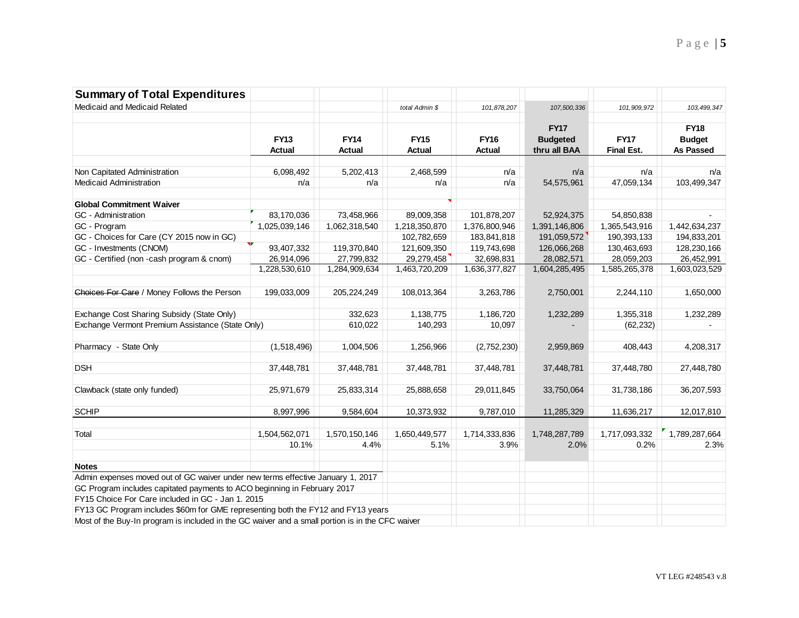| <b>Summary of Total Expenditures</b>                                                             |               |               |                |               |                 |                   |                  |
|--------------------------------------------------------------------------------------------------|---------------|---------------|----------------|---------------|-----------------|-------------------|------------------|
| Medicaid and Medicaid Related                                                                    |               |               | total Admin \$ | 101,878,207   | 107,500,336     | 101,909,972       | 103, 499, 347    |
|                                                                                                  |               |               |                |               |                 |                   |                  |
|                                                                                                  |               |               |                |               | <b>FY17</b>     |                   | <b>FY18</b>      |
|                                                                                                  | <b>FY13</b>   | <b>FY14</b>   | <b>FY15</b>    | <b>FY16</b>   | <b>Budgeted</b> | <b>FY17</b>       | <b>Budget</b>    |
|                                                                                                  | <b>Actual</b> | <b>Actual</b> | <b>Actual</b>  | <b>Actual</b> | thru all BAA    | <b>Final Est.</b> | <b>As Passed</b> |
| Non Capitated Administration                                                                     | 6,098,492     | 5,202,413     | 2,468,599      | n/a           | n/a             | n/a               | n/a              |
| <b>Medicaid Administration</b>                                                                   | n/a           | n/a           | n/a            | n/a           | 54,575,961      | 47,059,134        | 103,499,347      |
| <b>Global Commitment Waiver</b>                                                                  |               |               |                |               |                 |                   |                  |
| GC - Administration                                                                              | 83,170,036    | 73,458,966    | 89,009,358     | 101,878,207   | 52,924,375      | 54,850,838        |                  |
| GC - Program                                                                                     | 1,025,039,146 | 1,062,318,540 | 1,218,350,870  | 1,376,800,946 | 1,391,146,806   | 1,365,543,916     | 1,442,634,237    |
| GC - Choices for Care (CY 2015 now in GC)                                                        |               |               | 102,782,659    | 183,841,818   | 191,059,572     | 190,393,133       | 194,833,201      |
| GC - Investments (CNOM)                                                                          | 93,407,332    | 119,370,840   | 121,609,350    | 119,743,698   | 126,066,268     | 130,463,693       | 128,230,166      |
| GC - Certified (non -cash program & cnom)                                                        | 26,914,096    | 27,799,832    | 29,279,458     | 32,698,831    | 28,082,571      | 28,059,203        | 26,452,991       |
|                                                                                                  | 1,228,530,610 | 1,284,909,634 | 1,463,720,209  | 1,636,377,827 | 1,604,285,495   | 1,585,265,378     | 1,603,023,529    |
|                                                                                                  |               |               |                |               |                 |                   |                  |
| Choices For Care / Money Follows the Person                                                      | 199,033,009   | 205,224,249   | 108,013,364    | 3,263,786     | 2,750,001       | 2,244,110         | 1,650,000        |
| Exchange Cost Sharing Subsidy (State Only)                                                       |               | 332,623       | 1,138,775      | 1,186,720     | 1,232,289       | 1,355,318         | 1,232,289        |
| Exchange Vermont Premium Assistance (State Only)                                                 |               | 610,022       | 140,293        | 10,097        |                 | (62, 232)         |                  |
|                                                                                                  |               |               |                |               |                 |                   |                  |
| Pharmacy - State Only                                                                            | (1,518,496)   | 1,004,506     | 1,256,966      | (2,752,230)   | 2,959,869       | 408,443           | 4,208,317        |
| <b>DSH</b>                                                                                       | 37,448,781    | 37,448,781    | 37,448,781     | 37,448,781    | 37,448,781      | 37,448,780        | 27,448,780       |
| Clawback (state only funded)                                                                     | 25,971,679    | 25,833,314    | 25,888,658     | 29,011,845    | 33,750,064      | 31,738,186        | 36,207,593       |
|                                                                                                  |               |               |                |               |                 |                   |                  |
| <b>SCHIP</b>                                                                                     | 8,997,996     | 9,584,604     | 10,373,932     | 9,787,010     | 11,285,329      | 11,636,217        | 12,017,810       |
| Total                                                                                            | 1,504,562,071 | 1,570,150,146 | 1,650,449,577  | 1,714,333,836 | 1,748,287,789   | 1,717,093,332     | 1,789,287,664    |
|                                                                                                  | 10.1%         | 4.4%          | 5.1%           | 3.9%          | 2.0%            | 0.2%              | 2.3%             |
| <b>Notes</b>                                                                                     |               |               |                |               |                 |                   |                  |
| Admin expenses moved out of GC waiver under new terms effective January 1, 2017                  |               |               |                |               |                 |                   |                  |
| GC Program includes capitated payments to ACO beginning in February 2017                         |               |               |                |               |                 |                   |                  |
| FY15 Choice For Care included in GC - Jan 1. 2015                                                |               |               |                |               |                 |                   |                  |
| FY13 GC Program includes \$60m for GME representing both the FY12 and FY13 years                 |               |               |                |               |                 |                   |                  |
| Most of the Buy-In program is included in the GC waiver and a small portion is in the CFC waiver |               |               |                |               |                 |                   |                  |
|                                                                                                  |               |               |                |               |                 |                   |                  |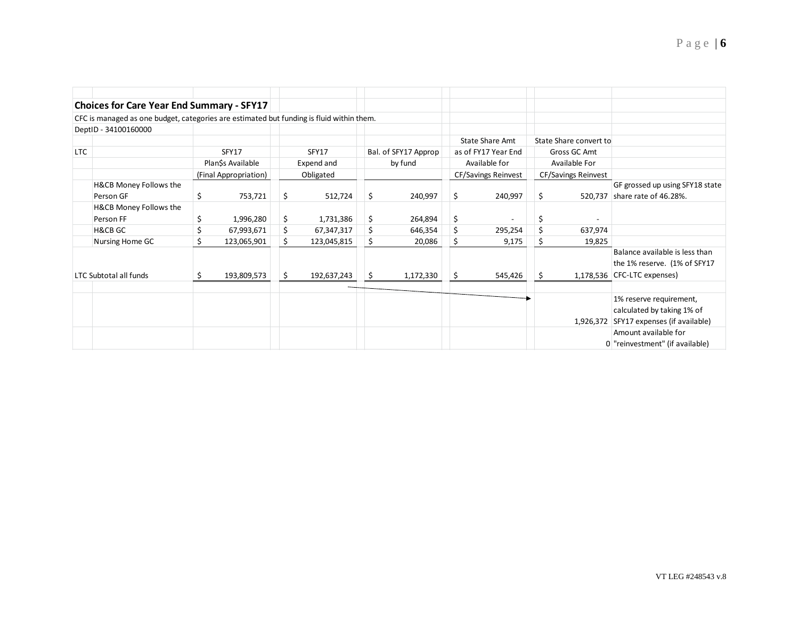|     | <b>Choices for Care Year End Summary - SFY17</b>                                         |   |                       |           |                                 |     |                                      |                            |                               |                            |                        |                                         |
|-----|------------------------------------------------------------------------------------------|---|-----------------------|-----------|---------------------------------|-----|--------------------------------------|----------------------------|-------------------------------|----------------------------|------------------------|-----------------------------------------|
|     | CFC is managed as one budget, categories are estimated but funding is fluid within them. |   |                       |           |                                 |     |                                      |                            |                               |                            |                        |                                         |
|     | DeptID - 34100160000                                                                     |   |                       |           |                                 |     |                                      |                            |                               |                            |                        |                                         |
|     |                                                                                          |   |                       |           |                                 |     |                                      |                            | <b>State Share Amt</b>        |                            | State Share convert to |                                         |
| LTC | SFY17<br>Plan\$s Available                                                               |   | SFY17<br>Expend and   |           | Bal. of SFY17 Approp<br>by fund |     | as of FY17 Year End<br>Available for |                            | Gross GC Amt<br>Available For |                            |                        |                                         |
|     |                                                                                          |   |                       |           |                                 |     |                                      |                            |                               |                            |                        |                                         |
|     |                                                                                          |   | (Final Appropriation) | Obligated |                                 |     |                                      | <b>CF/Savings Reinvest</b> |                               | <b>CF/Savings Reinvest</b> |                        |                                         |
|     | H&CB Money Follows the                                                                   |   |                       |           |                                 |     |                                      |                            |                               |                            |                        | GF grossed up using SFY18 state         |
|     | Person GF                                                                                | S | 753,721               | \$        | 512,724                         | \$  | 240,997                              | \$                         | 240,997                       | \$                         | 520,737                | share rate of 46.28%.                   |
|     | H&CB Money Follows the                                                                   |   |                       |           |                                 |     |                                      |                            |                               |                            |                        |                                         |
|     | Person FF                                                                                |   | 1,996,280             | \$        | 1,731,386                       | \$  | 264,894                              | \$                         |                               | Ś                          |                        |                                         |
|     | <b>H&amp;CB GC</b>                                                                       |   | 67,993,671            | \$        | 67,347,317                      | \$  | 646,354                              | \$                         | 295,254                       | Ś                          | 637,974                |                                         |
|     | Nursing Home GC                                                                          |   | 123,065,901           | \$        | 123,045,815                     | \$  | 20,086                               | \$                         | 9,175                         | Ś                          | 19,825                 |                                         |
|     |                                                                                          |   |                       |           |                                 |     |                                      |                            |                               |                            |                        | Balance available is less than          |
|     |                                                                                          |   |                       |           |                                 |     |                                      |                            |                               |                            |                        | the 1% reserve. (1% of SFY17            |
|     | LTC Subtotal all funds                                                                   |   | 193,809,573           | \$        | 192,637,243                     | \$. | 1,172,330                            | \$                         | 545,426                       | S                          |                        | 1,178,536 CFC-LTC expenses)             |
|     |                                                                                          |   |                       |           |                                 |     |                                      |                            |                               |                            |                        |                                         |
|     |                                                                                          |   |                       |           |                                 |     |                                      |                            |                               |                            |                        | 1% reserve requirement,                 |
|     |                                                                                          |   |                       |           |                                 |     |                                      |                            |                               |                            |                        | calculated by taking 1% of              |
|     |                                                                                          |   |                       |           |                                 |     |                                      |                            |                               |                            |                        | 1,926,372 SFY17 expenses (if available) |
|     |                                                                                          |   |                       |           |                                 |     |                                      |                            |                               |                            |                        | Amount available for                    |
|     |                                                                                          |   |                       |           |                                 |     |                                      |                            |                               |                            |                        | 0 "reinvestment" (if available)         |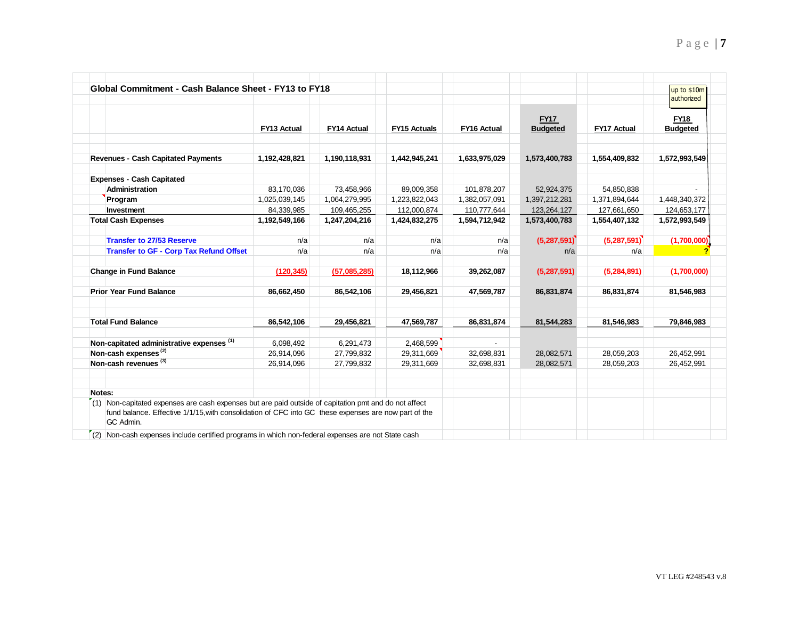| Global Commitment - Cash Balance Sheet - FY13 to FY18                                                                                                                                                                        |                    |                    |                     |                    |                                |                    | up to \$10m<br>authorized      |
|------------------------------------------------------------------------------------------------------------------------------------------------------------------------------------------------------------------------------|--------------------|--------------------|---------------------|--------------------|--------------------------------|--------------------|--------------------------------|
|                                                                                                                                                                                                                              | <b>FY13 Actual</b> | <b>FY14 Actual</b> | <b>FY15 Actuals</b> | <b>FY16 Actual</b> | <b>FY17</b><br><b>Budgeted</b> | <b>FY17 Actual</b> | <b>FY18</b><br><b>Budgeted</b> |
| <b>Revenues - Cash Capitated Payments</b>                                                                                                                                                                                    | 1,192,428,821      | 1,190,118,931      | 1,442,945,241       | 1,633,975,029      | 1,573,400,783                  | 1,554,409,832      | 1,572,993,549                  |
| <b>Expenses - Cash Capitated</b>                                                                                                                                                                                             |                    |                    |                     |                    |                                |                    |                                |
| <b>Administration</b>                                                                                                                                                                                                        | 83,170,036         | 73,458,966         | 89,009,358          | 101,878,207        | 52,924,375                     | 54,850,838         |                                |
| Program                                                                                                                                                                                                                      | 1,025,039,145      | 1,064,279,995      | 1,223,822,043       | 1,382,057,091      | 1,397,212,281                  | 1,371,894,644      | 1,448,340,372                  |
| Investment                                                                                                                                                                                                                   | 84,339,985         | 109,465,255        | 112,000,874         | 110,777,644        | 123,264,127                    | 127,661,650        | 124,653,177                    |
| <b>Total Cash Expenses</b>                                                                                                                                                                                                   | 1,192,549,166      | 1,247,204,216      | 1,424,832,275       | 1,594,712,942      | 1,573,400,783                  | 1,554,407,132      | 1,572,993,549                  |
| <b>Transfer to 27/53 Reserve</b>                                                                                                                                                                                             | n/a                | n/a                | n/a                 | n/a                | (5,287,591)                    | (5,287,591)        | (1,700,000)                    |
| <b>Transfer to GF - Corp Tax Refund Offset</b>                                                                                                                                                                               | n/a                | n/a                | n/a                 | n/a                | n/a                            | n/a                |                                |
| <b>Change in Fund Balance</b>                                                                                                                                                                                                | (120, 345)         | (57,085,285)       | 18,112,966          | 39,262,087         | (5,287,591)                    | (5,284,891)        | (1,700,000)                    |
| <b>Prior Year Fund Balance</b>                                                                                                                                                                                               | 86,662,450         | 86,542,106         | 29,456,821          | 47,569,787         | 86,831,874                     | 86,831,874         | 81,546,983                     |
| <b>Total Fund Balance</b>                                                                                                                                                                                                    | 86,542,106         | 29,456,821         | 47,569,787          | 86,831,874         | 81,544,283                     | 81,546,983         | 79,846,983                     |
| Non-capitated administrative expenses (1)                                                                                                                                                                                    | 6,098,492          | 6,291,473          | 2,468,599           |                    |                                |                    |                                |
| Non-cash expenses <sup>(2)</sup>                                                                                                                                                                                             | 26,914,096         | 27,799,832         | 29,311,669          | 32,698,831         | 28,082,571                     | 28,059,203         | 26,452,991                     |
| Non-cash revenues (3)                                                                                                                                                                                                        | 26,914,096         | 27,799,832         | 29,311,669          | 32,698,831         | 28,082,571                     | 28,059,203         | 26,452,991                     |
| Notes:                                                                                                                                                                                                                       |                    |                    |                     |                    |                                |                    |                                |
| $(1)$ Non-capitated expenses are cash expenses but are paid outside of capitation pmt and do not affect<br>fund balance. Effective 1/1/15, with consolidation of CFC into GC these expenses are now part of the<br>GC Admin. |                    |                    |                     |                    |                                |                    |                                |